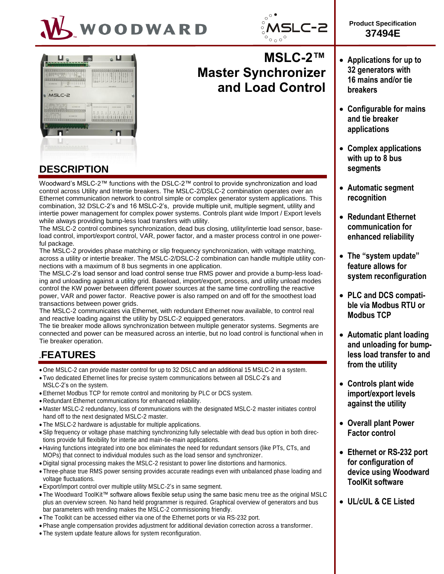





# **MSLC-2™ Master Synchronizer and Load Control**



Woodward's MSLC-2™ functions with the DSLC-2™ control to provide synchronization and load control across Utility and Intertie breakers. The MSLC-2/DSLC-2 combination operates over an Ethernet communication network to control simple or complex generator system applications. This combination, 32 DSLC-2's and 16 MSLC-2's, provide multiple unit, multiple segment, utility and intertie power management for complex power systems. Controls plant wide Import / Export levels while always providing bump-less load transfers with utility.

The MSLC-2 control combines synchronization, dead bus closing, utility/intertie load sensor, baseload control, import/export control, VAR, power factor, and a master process control in one powerful package.

The MSLC-2 provides phase matching or slip frequency synchronization, with voltage matching, across a utility or intertie breaker. The MSLC-2/DSLC-2 combination can handle multiple utility connections with a maximum of 8 bus segments in one application.

The MSLC-2's load sensor and load control sense true RMS power and provide a bump-less loading and unloading against a utility grid. Baseload, import/export, process, and utility unload modes control the KW power between different power sources at the same time controlling the reactive power, VAR and power factor. Reactive power is also ramped on and off for the smoothest load transactions between power grids.

The MSLC-2 communicates via Ethernet, with redundant Ethernet now available, to control real and reactive loading against the utility by DSLC-2 equipped generators.

The tie breaker mode allows synchronization between multiple generator systems. Segments are connected and power can be measured across an intertie, but no load control is functional when in Tie breaker operation.

# **.FEATURES**

- One MSLC-2 can provide master control for up to 32 DSLC and an additional 15 MSLC-2 in a system.
- Two dedicated Ethernet lines for precise system communications between all DSLC-2's and
- MSLC-2's on the system.
- Ethernet Modbus TCP for remote control and monitoring by PLC or DCS system.
- Redundant Ethernet communications for enhanced reliability.
- Master MSLC-2 redundancy, loss of communications with the designated MSLC-2 master initiates control hand off to the next designated MSLC-2 master.
- The MSLC-2 hardware is adjustable for multiple applications.
- Slip frequency or voltage phase matching synchronizing fully selectable with dead bus option in both directions provide full flexibility for intertie and main-tie-main applications.
- Having functions integrated into one box eliminates the need for redundant sensors (like PTs, CTs, and MOPs) that connect to individual modules such as the load sensor and synchronizer.
- Digital signal processing makes the MSLC-2 resistant to power line distortions and harmonics.
- Three-phase true RMS power sensing provides accurate readings even with unbalanced phase loading and voltage fluctuations.
- Export/import control over multiple utility MSLC-2's in same segment.
- The Woodward ToolKit™ software allows flexible setup using the same basic menu tree as the original MSLC plus an overview screen. No hand held programmer is required. Graphical overview of generators and bus bar parameters with trending makes the MSLC-2 commissioning friendly.
- The Toolkit can be accessed either via one of the Ethernet ports or via RS-232 port.
- Phase angle compensation provides adjustment for additional deviation correction across a transformer.
- The system update feature allows for system reconfiguration.

 **Applications for up to 32 generators with** 

**Product Specification 37494E**

- **16 mains and/or tie breakers**
- **Configurable for mains and tie breaker applications**
- **Complex applications with up to 8 bus segments**
- **Automatic segment recognition**
- **Redundant Ethernet communication for enhanced reliability**
- **The "system update" feature allows for system reconfiguration**
- **PLC and DCS compatible via Modbus RTU or Modbus TCP**
- **Automatic plant loading and unloading for bumpless load transfer to and from the utility**
- **Controls plant wide import/export levels against the utility**
- **Overall plant Power Factor control**
- **Ethernet or RS-232 port for configuration of device using Woodward ToolKit software**
- **UL/cUL & CE Listed**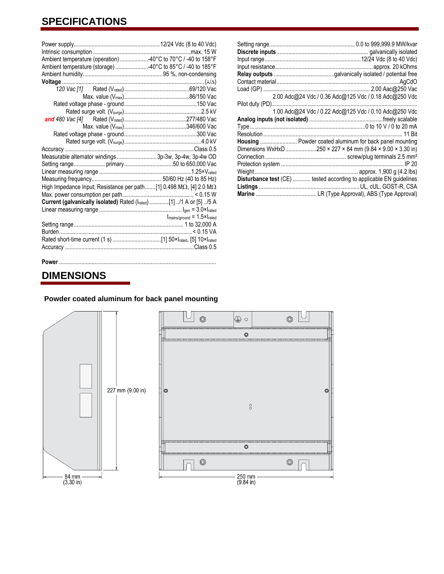## **SPECIFICATIONS**

| Ambient temperature (operation) 40°C to 70°C / -40 to 158°F                         |                                                         |
|-------------------------------------------------------------------------------------|---------------------------------------------------------|
| Ambient temperature (storage) 40°C to 85°C / -40 to 185°F                           |                                                         |
|                                                                                     |                                                         |
|                                                                                     |                                                         |
|                                                                                     |                                                         |
|                                                                                     |                                                         |
|                                                                                     |                                                         |
|                                                                                     |                                                         |
|                                                                                     |                                                         |
|                                                                                     |                                                         |
|                                                                                     |                                                         |
|                                                                                     |                                                         |
|                                                                                     |                                                         |
| Measurable alternator windings 3p-3w, 3p-4w, 3p-4w OD                               |                                                         |
|                                                                                     |                                                         |
|                                                                                     |                                                         |
|                                                                                     |                                                         |
| High Impedance Input; Resistance per path [1] 0.498 M $\Omega$ , [4] 2.0 M $\Omega$ |                                                         |
|                                                                                     |                                                         |
| Current (galvanically isolated) Rated (Irated) [1] /1 A or [5] /5 A                 |                                                         |
|                                                                                     |                                                         |
|                                                                                     | $I_{\text{mains/ground}} = 1.5 \times I_{\text{rated}}$ |
|                                                                                     |                                                         |
|                                                                                     |                                                         |
|                                                                                     |                                                         |
|                                                                                     |                                                         |
|                                                                                     |                                                         |

|                                                                     | 2.00 Adc@24 Vdc / 0.36 Adc@125 Vdc / 0.18 Adc@250 Vdc |
|---------------------------------------------------------------------|-------------------------------------------------------|
| Pilot duty (PD)                                                     |                                                       |
|                                                                     | 1.00 Adc@24 Vdc / 0.22 Adc@125 Vdc / 0.10 Adc@250 Vdc |
|                                                                     |                                                       |
|                                                                     |                                                       |
|                                                                     |                                                       |
| Housing  Powder coated aluminum for back panel mounting             |                                                       |
|                                                                     |                                                       |
|                                                                     |                                                       |
|                                                                     |                                                       |
|                                                                     |                                                       |
| Disturbance test (CE)  tested according to applicable EN guidelines |                                                       |
|                                                                     |                                                       |
|                                                                     |                                                       |

#### **Power** .................

### **DIMENSIONS**

### **Powder coated aluminum for back panel mounting**

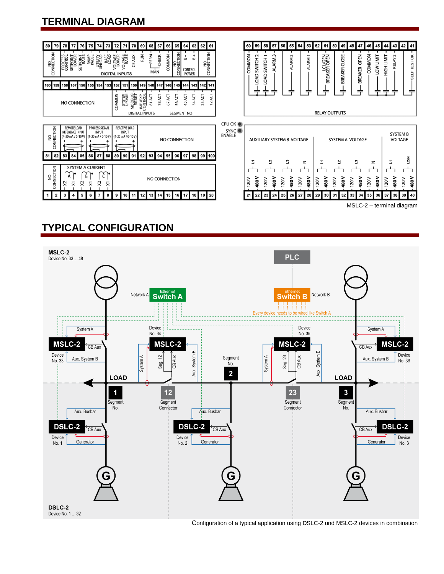### **TERMINAL DIAGRAM**



## **TYPICAL CONFIGURATION**



Configuration of a typical application using DSLC-2 und MSLC-2 devices in combination